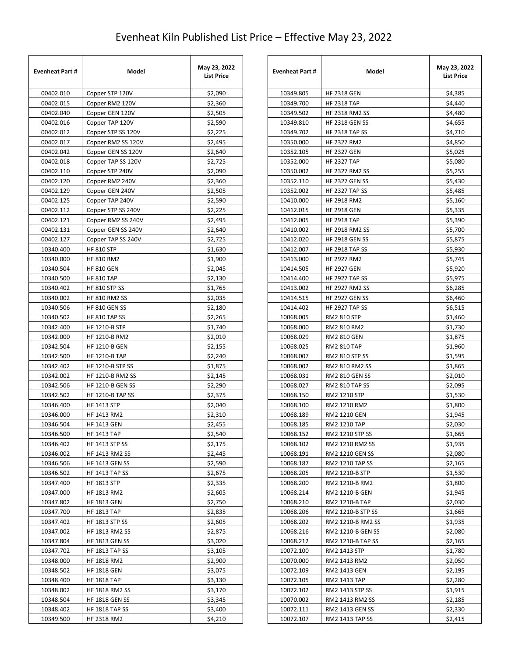## Evenheat Kiln Published List Price – Effective May 23, 2022

| <b>Evenheat Part #</b> | Model                   | May 23, 2022<br><b>List Price</b> |
|------------------------|-------------------------|-----------------------------------|
| 00402.010              | Copper STP 120V         | \$2,090                           |
| 00402.015              | Copper RM2 120V         | \$2,360                           |
| 00402.040              | Copper GEN 120V         | \$2,505                           |
| 00402.016              | Copper TAP 120V         | \$2,590                           |
| 00402.012              | Copper STP SS 120V      | \$2,225                           |
| 00402.017              | Copper RM2 SS 120V      | \$2,495                           |
| 00402.042              | Copper GEN SS 120V      | \$2,640                           |
| 00402.018              | Copper TAP SS 120V      | \$2,725                           |
| 00402.110              | Copper STP 240V         | \$2,090                           |
| 00402.120              | Copper RM2 240V         | \$2,360                           |
| 00402.129              | Copper GEN 240V         | \$2,505                           |
| 00402.125              | Copper TAP 240V         | \$2,590                           |
| 00402.112              | Copper STP SS 240V      | \$2,225                           |
| 00402.121              | Copper RM2 SS 240V      | \$2,495                           |
| 00402.131              | Copper GEN SS 240V      | \$2,640                           |
| 00402.127              | Copper TAP SS 240V      | \$2,725                           |
| 10340.400              | <b>HF 810 STP</b>       | \$1,630                           |
| 10340.000              | <b>HF 810 RM2</b>       | \$1,900                           |
| 10340.504              | <b>HF 810 GEN</b>       | \$2,045                           |
| 10340.500              | <b>HF 810 TAP</b>       | \$2,130                           |
| 10340.402              | HF 810 STP SS           | \$1,765                           |
| 10340.002              | <b>HF 810 RM2 SS</b>    | \$2,035                           |
| 10340.506              | HF 810 GEN SS           | \$2,180                           |
| 10340.502              | HF 810 TAP SS           | \$2,265                           |
| 10342.400              | HF 1210-B STP           | \$1,740                           |
| 10342.000              | HF 1210-B RM2           | \$2,010                           |
| 10342.504              | <b>HF 1210-B GEN</b>    | \$2,155                           |
| 10342.500              | HF 1210-B TAP           | \$2,240                           |
| 10342.402              | <b>HF 1210-B STP SS</b> | \$1,875                           |
| 10342.002              | HF 1210-B RM2 SS        | \$2,145                           |
| 10342.506              | <b>HF 1210-B GEN SS</b> | \$2,290                           |
| 10342.502              | <b>HF 1210-B TAP SS</b> | \$2,375                           |
| 10346.400              | <b>HF 1413 STP</b>      | \$2,040                           |
| 10346.000              | HF 1413 RM2             | \$2,310                           |
| 10346.504              | <b>HF 1413 GEN</b>      | \$2,455                           |
| 10346.500              | <b>HF 1413 TAP</b>      | \$2,540                           |
| 10346.402              | <b>HF 1413 STP SS</b>   | \$2,175                           |
| 10346.002              | HF 1413 RM2 SS          | \$2,445                           |
| 10346.506              | <b>HF 1413 GEN SS</b>   | \$2,590                           |
| 10346.502              | <b>HF 1413 TAP SS</b>   | \$2,675                           |
| 10347.400              | <b>HF 1813 STP</b>      | \$2,335                           |
| 10347.000              | HF 1813 RM2             | \$2,605                           |
| 10347.802              | <b>HF 1813 GEN</b>      | \$2,750                           |
| 10347.700              | <b>HF 1813 TAP</b>      | \$2,835                           |
| 10347.402              | HF 1813 STP SS          | \$2,605                           |
| 10347.002              | HF 1813 RM2 SS          | \$2,875                           |
| 10347.804              | <b>HF 1813 GEN SS</b>   | \$3,020                           |
| 10347.702              | <b>HF 1813 TAP SS</b>   | \$3,105                           |
| 10348.000              | HF 1818 RM2             | \$2,900                           |
| 10348.502              | <b>HF 1818 GEN</b>      | \$3,075                           |
| 10348.400              | <b>HF 1818 TAP</b>      | \$3,130                           |
| 10348.002              | HF 1818 RM2 SS          | \$3,170                           |
| 10348.504              | <b>HF 1818 GEN SS</b>   | \$3,345                           |
| 10348.402              | <b>HF 1818 TAP SS</b>   | \$3,400                           |
| 10349.500              | <b>HF 2318 RM2</b>      | \$4,210                           |

| <b>Evenheat Part #</b> | Model                            | May 23, 2022<br><b>List Price</b> |
|------------------------|----------------------------------|-----------------------------------|
| 10349.805              | <b>HF 2318 GEN</b>               | \$4,385                           |
| 10349.700              | HF 2318 TAP                      | \$4,440                           |
| 10349.502              | HF 2318 RM2 SS                   | \$4,480                           |
| 10349.810              | HF 2318 GEN SS                   | \$4,655                           |
| 10349.702              | HF 2318 TAP SS                   | \$4,710                           |
| 10350.000              | HF 2327 RM2                      | \$4,850                           |
| 10352.105              | HF 2327 GEN                      | \$5,025                           |
| 10352.000              | <b>HF 2327 TAP</b>               | \$5,080                           |
| 10350.002              | <b>HF 2327 RM2 SS</b>            | \$5,255                           |
| 10352.110              | <b>HF 2327 GEN SS</b>            | \$5,430                           |
| 10352.002              | <b>HF 2327 TAP SS</b>            | \$5,485                           |
| 10410.000              | HF 2918 RM2                      | \$5,160                           |
| 10412.015              | <b>HF 2918 GEN</b>               | \$5,335                           |
| 10412.005              | HF 2918 TAP                      | \$5,390                           |
| 10410.002              | <b>HF 2918 RM2 SS</b>            | \$5,700                           |
| 10412.020              | <b>HF 2918 GEN SS</b>            | \$5,875                           |
| 10412.007              | <b>HF 2918 TAP SS</b>            | \$5,930                           |
| 10413.000              | <b>HF 2927 RM2</b>               | \$5,745                           |
| 10414.505              | <b>HF 2927 GEN</b>               | \$5,920                           |
| 10414.400              | <b>HF 2927 TAP SS</b>            | \$5,975                           |
| 10413.002              | <b>HF 2927 RM2 SS</b>            | \$6,285                           |
| 10414.515              | <b>HF 2927 GEN SS</b>            | \$6,460                           |
| 10414.402              | <b>HF 2927 TAP SS</b>            | \$6,515                           |
| 10068.005              | RM2 810 STP                      | \$1,460                           |
| 10068.000              | RM2 810 RM2                      | \$1,730                           |
| 10068.029              | RM2 810 GEN                      | \$1,875                           |
| 10068.025              | RM2 810 TAP                      | \$1,960                           |
| 10068.007              | RM2 810 STP SS<br>RM2 810 RM2 SS | \$1,595                           |
| 10068.002<br>10068.031 | RM2 810 GEN SS                   | \$1,865<br>\$2,010                |
| 10068.027              | RM2 810 TAP SS                   | \$2,095                           |
| 10068.150              | RM2 1210 STP                     | \$1,530                           |
| 10068.100              | RM2 1210 RM2                     | \$1,800                           |
| 10068.189              | RM2 1210 GEN                     | \$1,945                           |
| 10068.185              | RM2 1210 TAP                     | \$2,030                           |
| 10068.152              | RM2 1210 STP SS                  | \$1,665                           |
| 10068.102              | RM2 1210 RM2 SS                  | \$1,935                           |
| 10068.191              | RM2 1210 GEN SS                  | \$2,080                           |
| 10068.187              | RM2 1210 TAP SS                  | \$2,165                           |
| 10068.205              | RM2 1210-B STP                   | \$1,530                           |
| 10068.200              | RM2 1210-B RM2                   | \$1,800                           |
| 10068.214              | RM2 1210-B GEN                   | \$1,945                           |
| 10068.210              | RM2 1210-B TAP                   | \$2,030                           |
| 10068.206              | RM2 1210-B STP SS                | \$1,665                           |
| 10068.202              | RM2 1210-B RM2 SS                | \$1,935                           |
| 10068.216              | RM2 1210-B GEN SS                | \$2,080                           |
| 10068.212              | RM2 1210-B TAP SS                | \$2,165                           |
| 10072.100              | RM2 1413 STP                     | \$1,780                           |
| 10070.000              | RM2 1413 RM2                     | \$2,050                           |
| 10072.109              | RM2 1413 GEN                     | \$2,195                           |
| 10072.105              | RM2 1413 TAP                     | \$2,280                           |
| 10072.102              | RM2 1413 STP SS                  | \$1,915                           |
| 10070.002              | RM2 1413 RM2 SS                  | \$2,185                           |
| 10072.111              | RM2 1413 GEN SS                  | \$2,330                           |
| 10072.107              | RM2 1413 TAP SS                  | \$2,415                           |